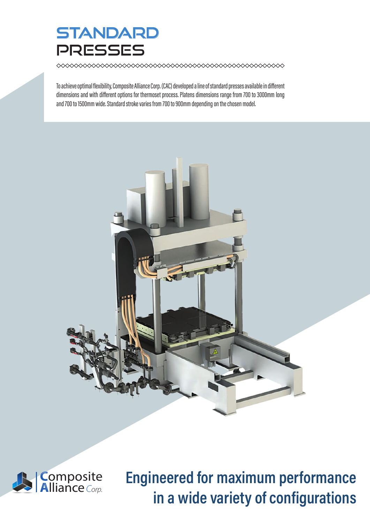## **STANDARD PRESSES**

◇◇◇◇◇◇◇◇◇◇◇◇◇◇◇◇◇◇◇◇◇◇◇◇◇◇◇◇◇◇◇◇

To achieve optimal flexibility, Composite Alliance Corp. (CAC) developed a line of standard presses available in different dimensions and with different options for thermoset process. Platens dimensions range from 700 to 3000mm long and 700 to 1500mm wide. Standard stroke varies from 700 to 900mm depending on the chosen model.





Engineered for maximum performance in a wide variety of configurations